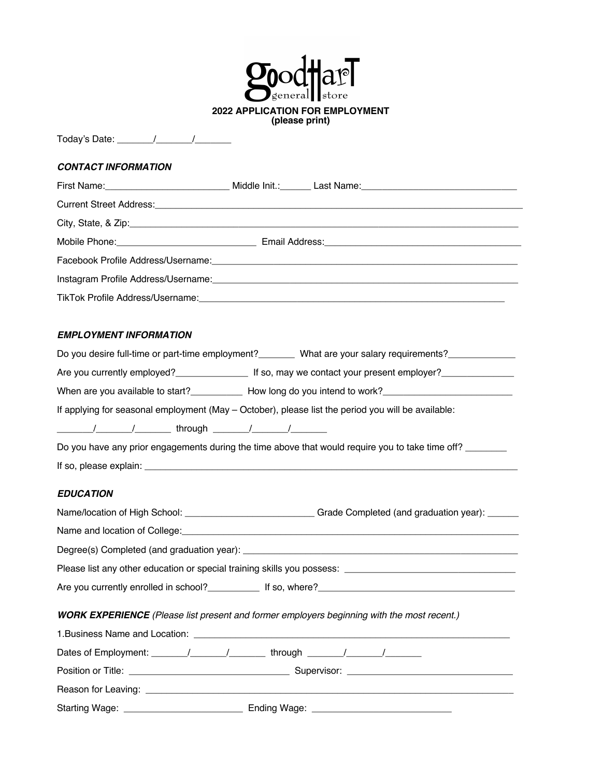| eneral∎l<br>store                                                                                                                                                                                                                    |
|--------------------------------------------------------------------------------------------------------------------------------------------------------------------------------------------------------------------------------------|
| <b>2022 APPLICATION FOR EMPLOYMENT</b><br>(please print)                                                                                                                                                                             |
|                                                                                                                                                                                                                                      |
| <b>CONTACT INFORMATION</b>                                                                                                                                                                                                           |
|                                                                                                                                                                                                                                      |
|                                                                                                                                                                                                                                      |
|                                                                                                                                                                                                                                      |
|                                                                                                                                                                                                                                      |
|                                                                                                                                                                                                                                      |
|                                                                                                                                                                                                                                      |
|                                                                                                                                                                                                                                      |
|                                                                                                                                                                                                                                      |
| EMPLOYMENT INFORMATION                                                                                                                                                                                                               |
| Do you desire full-time or part-time employment? ________ What are your salary requirements? ____________                                                                                                                            |
| Are you currently employed?<br><b>Examployer</b> 1 so, may we contact your present employer?                                                                                                                                         |
| When are you available to start?______________ How long do you intend to work?________________________________                                                                                                                       |
| If applying for seasonal employment (May - October), please list the period you will be available:                                                                                                                                   |
|                                                                                                                                                                                                                                      |
| Do you have any prior engagements during the time above that would require you to take time off?                                                                                                                                     |
|                                                                                                                                                                                                                                      |
| <b>EDUCATION</b>                                                                                                                                                                                                                     |
| Name/location of High School: _______________________________Grade Completed (and graduation year): ______                                                                                                                           |
|                                                                                                                                                                                                                                      |
| Name and location of College: <u>contract and contract and contract and contract and contract and contract and contract and contract and contract and contract and contract and contract and contract and contract and contract </u> |
| Please list any other education or special training skills you possess: ____________________________                                                                                                                                 |
|                                                                                                                                                                                                                                      |
|                                                                                                                                                                                                                                      |
| <b>WORK EXPERIENCE</b> (Please list present and former employers beginning with the most recent.)                                                                                                                                    |
|                                                                                                                                                                                                                                      |
|                                                                                                                                                                                                                                      |
|                                                                                                                                                                                                                                      |
|                                                                                                                                                                                                                                      |
|                                                                                                                                                                                                                                      |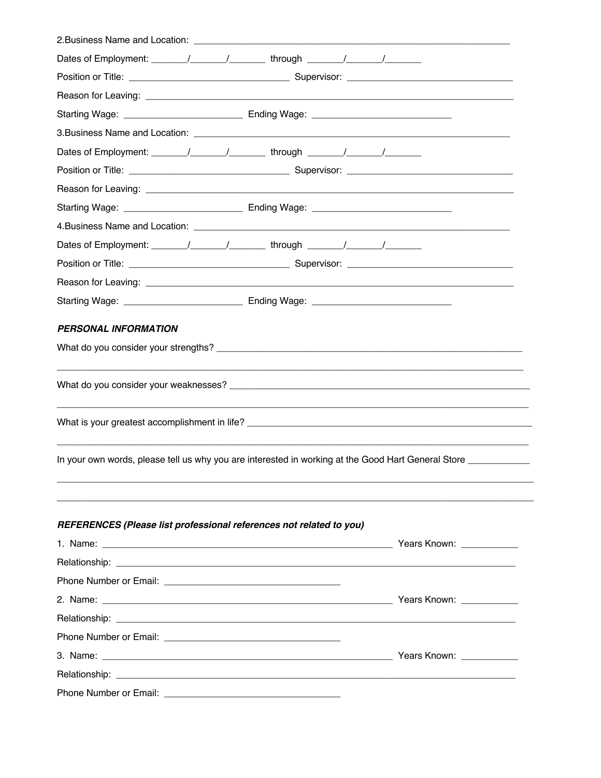| Dates of Employment: _______/_______/_________through _______/_______/__________                               |  |
|----------------------------------------------------------------------------------------------------------------|--|
|                                                                                                                |  |
|                                                                                                                |  |
|                                                                                                                |  |
|                                                                                                                |  |
|                                                                                                                |  |
|                                                                                                                |  |
|                                                                                                                |  |
|                                                                                                                |  |
|                                                                                                                |  |
|                                                                                                                |  |
|                                                                                                                |  |
|                                                                                                                |  |
|                                                                                                                |  |
| PERSONAL INFORMATION                                                                                           |  |
|                                                                                                                |  |
|                                                                                                                |  |
|                                                                                                                |  |
|                                                                                                                |  |
| In your own words, please tell us why you are interested in working at the Good Hart General Store ___________ |  |
| REFERENCES (Please list professional references not related to you)                                            |  |
|                                                                                                                |  |
|                                                                                                                |  |
|                                                                                                                |  |
|                                                                                                                |  |
|                                                                                                                |  |
|                                                                                                                |  |
|                                                                                                                |  |
|                                                                                                                |  |
|                                                                                                                |  |